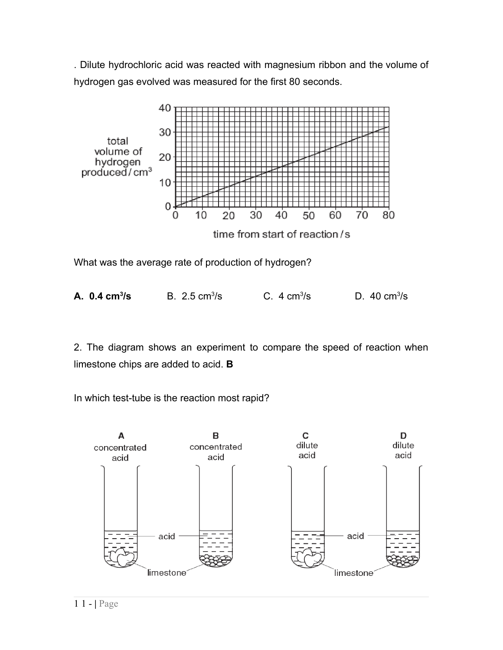. Dilute hydrochloric acid was reacted with magnesium ribbon and the volume of hydrogen gas evolved was measured for the first 80 seconds.



What was the average rate of production of hydrogen?

| A. $0.4 \text{ cm}^3/\text{s}$ | B. $2.5 \text{ cm}^3/\text{s}$ | C. $4 \text{ cm}^3/\text{s}$ | D. 40 $cm^3/s$ |
|--------------------------------|--------------------------------|------------------------------|----------------|
|                                |                                |                              |                |

2. The diagram shows an experiment to compare the speed of reaction when limestone chips are added to acid. **B**

In which test-tube is the reaction most rapid?

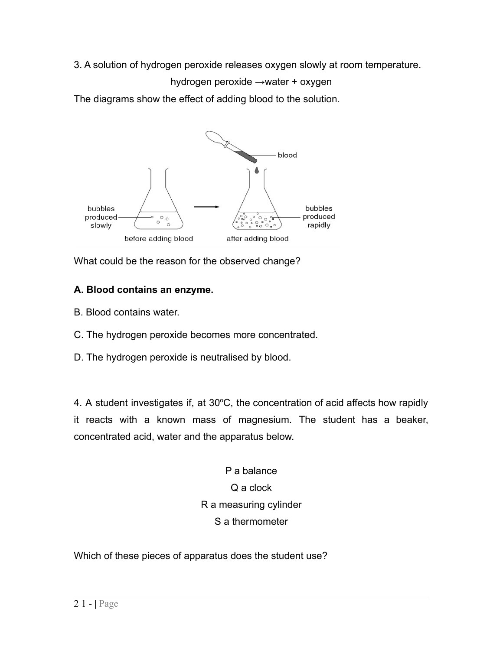3. A solution of hydrogen peroxide releases oxygen slowly at room temperature.

hydrogen peroxide →water + oxygen

The diagrams show the effect of adding blood to the solution.



What could be the reason for the observed change?

# **A. Blood contains an enzyme.**

- B. Blood contains water.
- C. The hydrogen peroxide becomes more concentrated.
- D. The hydrogen peroxide is neutralised by blood.

4. A student investigates if, at  $30^{\circ}$ C, the concentration of acid affects how rapidly it reacts with a known mass of magnesium. The student has a beaker, concentrated acid, water and the apparatus below.

> P a balance Q a clock R a measuring cylinder S a thermometer

Which of these pieces of apparatus does the student use?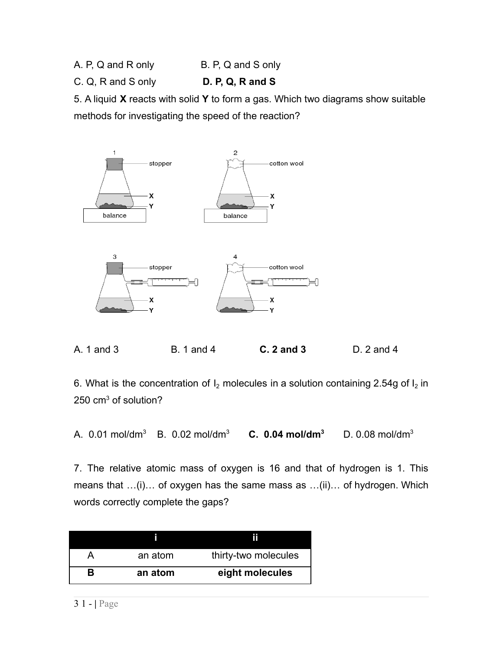- A. P, Q and R only B. P, Q and S only
- C. Q, R and S only **D. P, Q, R and S**

5. A liquid **X** reacts with solid **Y** to form a gas. Which two diagrams show suitable methods for investigating the speed of the reaction?



A. 1 and 3 B. 1 and 4 **C. 2 and 3** D. 2 and 4

6. What is the concentration of  $I_2$  molecules in a solution containing 2.54g of  $I_2$  in 250 cm<sup>3</sup> of solution?

A. 0.01 mol/dm<sup>3</sup> B. 0.02 mol/dm<sup>3</sup> **C. 0.04 mol/dm<sup>3</sup>** D. 0.08 mol/dm<sup>3</sup>

7. The relative atomic mass of oxygen is 16 and that of hydrogen is 1. This means that …(i)… of oxygen has the same mass as …(ii)… of hydrogen. Which words correctly complete the gaps?

|   | an atom | thirty-two molecules |
|---|---------|----------------------|
| R | an atom | eight molecules      |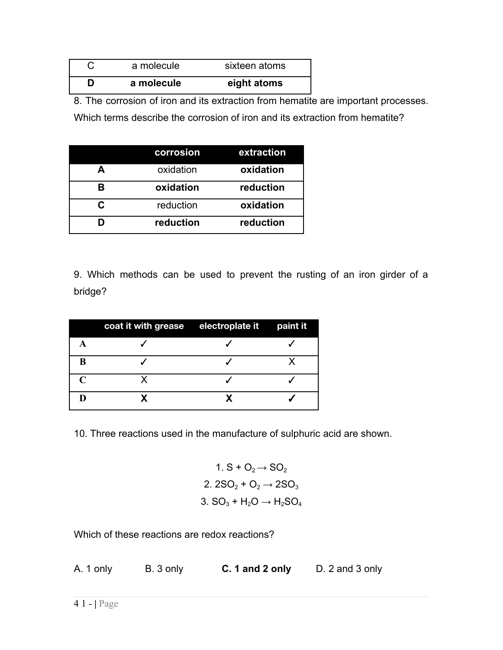| a molecule | sixteen atoms |
|------------|---------------|
| a molecule | eight atoms   |

8. The corrosion of iron and its extraction from hematite are important processes.

Which terms describe the corrosion of iron and its extraction from hematite?

|   | corrosion | extraction |
|---|-----------|------------|
|   | oxidation | oxidation  |
| R | oxidation | reduction  |
| r | reduction | oxidation  |
|   | reduction | reduction  |

9. Which methods can be used to prevent the rusting of an iron girder of a bridge?

|                   | coat it with grease electroplate it paint it |  |
|-------------------|----------------------------------------------|--|
|                   |                                              |  |
| B                 |                                              |  |
| $\mathsf{\Gamma}$ |                                              |  |
|                   |                                              |  |

10. Three reactions used in the manufacture of sulphuric acid are shown.

1. 
$$
S + O_2 \rightarrow SO_2
$$
  
\n2.  $2SO_2 + O_2 \rightarrow 2SO_3$   
\n3.  $SO_3 + H_2O \rightarrow H_2SO_4$ 

Which of these reactions are redox reactions?

A. 1 only B. 3 only **C. 1 and 2 only** D. 2 and 3 only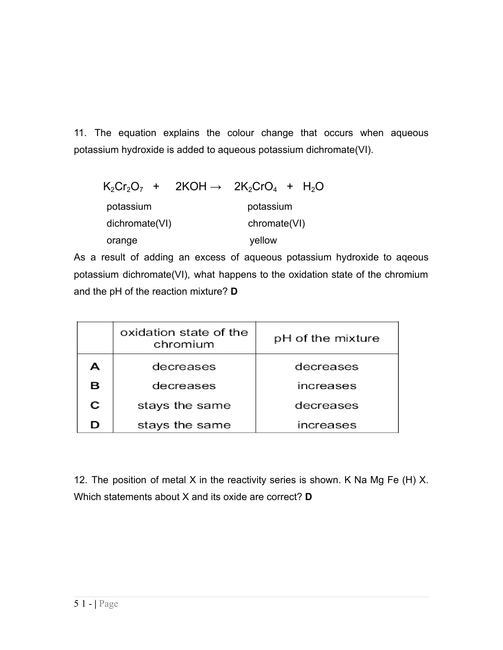11. The equation explains the colour change that occurs when aqueous potassium hydroxide is added to aqueous potassium dichromate(VI).

| $K_2Cr_2O_7$ + 2KOH $\rightarrow$ 2K <sub>2</sub> CrO <sub>4</sub> + H <sub>2</sub> O |              |           |  |
|---------------------------------------------------------------------------------------|--------------|-----------|--|
| potassium                                                                             |              | potassium |  |
| dichromate(VI)                                                                        | chromate(VI) |           |  |
| orange                                                                                |              | yellow    |  |

As a result of adding an excess of aqueous potassium hydroxide to aqeous potassium dichromate(VI), what happens to the oxidation state of the chromium and the pH of the reaction mixture? **D**

|   | oxidation state of the<br>chromium | pH of the mixture |
|---|------------------------------------|-------------------|
| А | decreases                          | decreases         |
| в | decreases                          | increases         |
| С | stays the same                     | decreases         |
| D | stays the same                     | increases         |

12. The position of metal X in the reactivity series is shown. K Na Mg Fe (H) X. Which statements about X and its oxide are correct? **D**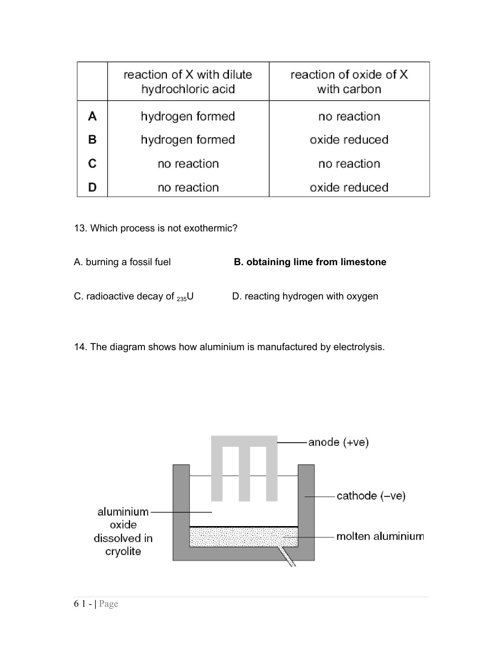| reaction of X with dilute<br>hydrochloric acid | reaction of oxide of X<br>with carbon |
|------------------------------------------------|---------------------------------------|
| hydrogen formed                                | no reaction                           |
| hydrogen formed                                | oxide reduced                         |
| no reaction                                    | no reaction                           |
| no reaction                                    | oxide reduced                         |

13. Which process is not exothermic?

| A. burning a fossil fuel           | <b>B.</b> obtaining lime from limestone |
|------------------------------------|-----------------------------------------|
| C. radioactive decay of $_{235}$ U | D. reacting hydrogen with oxygen        |

14. The diagram shows how aluminium is manufactured by electrolysis.

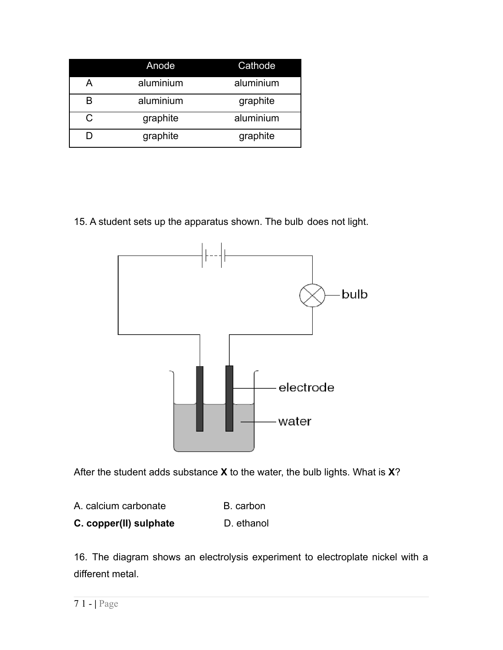|   | Anode     | Cathode   |
|---|-----------|-----------|
| Α | aluminium | aluminium |
| в | aluminium | graphite  |
| C | graphite  | aluminium |
|   | graphite  | graphite  |

15. A student sets up the apparatus shown. The bulb does not light.



After the student adds substance **X** to the water, the bulb lights. What is **X**?

- A. calcium carbonate B. carbon
- **C. copper(II) sulphate** D. ethanol

16. The diagram shows an electrolysis experiment to electroplate nickel with a different metal.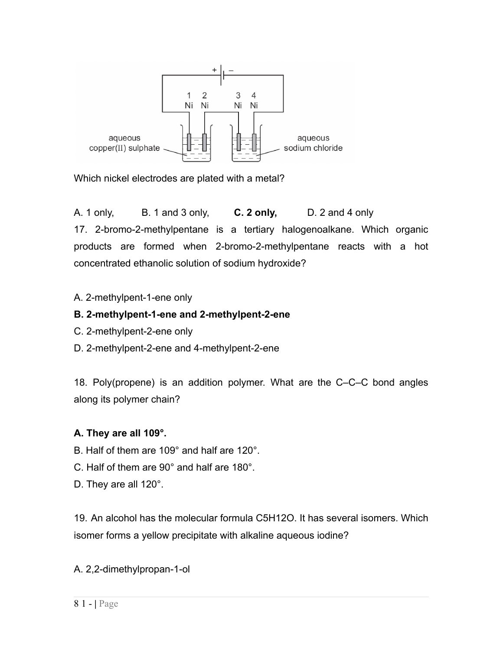

Which nickel electrodes are plated with a metal?

A. 1 only, B. 1 and 3 only, **C. 2 only,** D. 2 and 4 only 17. 2-bromo-2-methylpentane is a tertiary halogenoalkane. Which organic products are formed when 2-bromo-2-methylpentane reacts with a hot concentrated ethanolic solution of sodium hydroxide?

#### A. 2-methylpent-1-ene only

### **B. 2-methylpent-1-ene and 2-methylpent-2-ene**

- C. 2-methylpent-2-ene only
- D. 2-methylpent-2-ene and 4-methylpent-2-ene

18. Poly(propene) is an addition polymer. What are the C–C–C bond angles along its polymer chain?

### **A. They are all 109°.**

- B. Half of them are 109° and half are 120°.
- C. Half of them are 90° and half are 180°.
- D. They are all 120°.

19. An alcohol has the molecular formula C5H12O. It has several isomers. Which isomer forms a yellow precipitate with alkaline aqueous iodine?

A. 2,2-dimethylpropan-1-ol